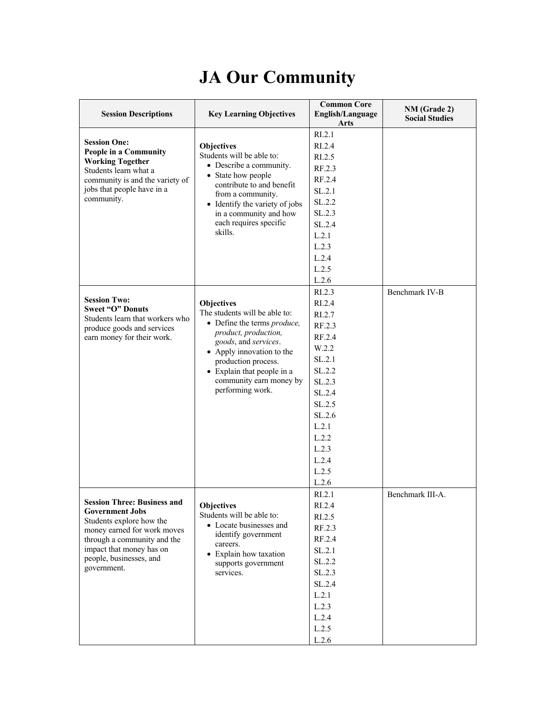## **JA Our Community**

| <b>Session Descriptions</b>                                                                                                                                                                                                                                                 | <b>Key Learning Objectives</b>                                                                                                                                                                                                                                                                                                   | <b>Common Core</b><br>English/Language<br>Arts                                                                                                                                         | NM (Grade 2)<br><b>Social Studies</b> |
|-----------------------------------------------------------------------------------------------------------------------------------------------------------------------------------------------------------------------------------------------------------------------------|----------------------------------------------------------------------------------------------------------------------------------------------------------------------------------------------------------------------------------------------------------------------------------------------------------------------------------|----------------------------------------------------------------------------------------------------------------------------------------------------------------------------------------|---------------------------------------|
| <b>Session One:</b><br><b>People in a Community</b><br><b>Working Together</b><br>Students learn what a<br>community is and the variety of<br>jobs that people have in a<br>community.<br><b>Session Two:</b><br><b>Sweet "O" Donuts</b><br>Students learn that workers who | Objectives<br>Students will be able to:<br>• Describe a community.<br>• State how people<br>contribute to and benefit<br>from a community.<br>• Identify the variety of jobs<br>in a community and how<br>each requires specific<br>skills.<br><b>Objectives</b><br>The students will be able to:<br>• Define the terms produce, | RI.2.1<br>RI.2.4<br>R <sub>L.2.5</sub><br>RF.2.3<br>RF.2.4<br>SL.2.1<br>SL.2.2<br>SL.2.3<br>SL.2.4<br>L.2.1<br>L.2.3<br>L.2.4<br>L.2.5<br>L.2.6<br>RL2.3<br>RI.2.4<br>RI.2.7<br>RF.2.3 | Benchmark IV-B                        |
| produce goods and services<br>earn money for their work.                                                                                                                                                                                                                    | product, production,<br>goods, and services.<br>• Apply innovation to the<br>production process.<br>• Explain that people in a<br>community earn money by<br>performing work.                                                                                                                                                    | RF.2.4<br>W.2.2<br>SL.2.1<br>SL.2.2<br>SL.2.3<br>SL.2.4<br>SL.2.5<br>SL.2.6<br>L.2.1<br>L.2.2<br>L.2.3<br>L.2.4<br>L.2.5<br>L.2.6                                                      |                                       |
| <b>Session Three: Business and</b><br><b>Government Jobs</b><br>Students explore how the<br>money earned for work moves<br>through a community and the<br>impact that money has on<br>people, businesses, and<br>government.                                                | Objectives<br>Students will be able to:<br>• Locate businesses and<br>identify government<br>careers.<br>• Explain how taxation<br>supports government<br>services.                                                                                                                                                              | RI.2.1<br>RI.2.4<br>RI.2.5<br>RF.2.3<br>RF.2.4<br>SL.2.1<br>SL.2.2<br>SL.2.3<br>SL.2.4<br>L.2.1<br>L.2.3<br>L.2.4<br>L.2.5<br>L.2.6                                                    | Benchmark III-A.                      |